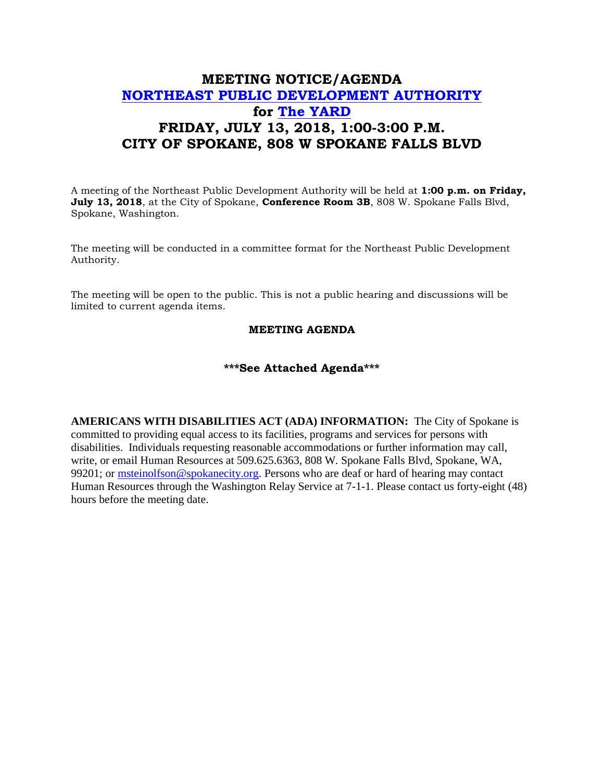## **MEETING NOTICE/AGENDA [NORTHEAST PUBLIC DEVELOPMENT AUTHORITY](https://beta.spokanecity.org/bcc/boards/northeast-public-development-authority/) for [The YARD](https://beta.spokanecity.org/projects/theyard/) FRIDAY, JULY 13, 2018, 1:00-3:00 P.M. CITY OF SPOKANE, 808 W SPOKANE FALLS BLVD**

A meeting of the Northeast Public Development Authority will be held at **1:00 p.m. on Friday, July 13, 2018**, at the City of Spokane, **Conference Room 3B**, 808 W. Spokane Falls Blvd, Spokane, Washington.

The meeting will be conducted in a committee format for the Northeast Public Development Authority.

The meeting will be open to the public. This is not a public hearing and discussions will be limited to current agenda items.

## **MEETING AGENDA**

## **\*\*\*See Attached Agenda\*\*\***

**AMERICANS WITH DISABILITIES ACT (ADA) INFORMATION:** The City of Spokane is committed to providing equal access to its facilities, programs and services for persons with disabilities. Individuals requesting reasonable accommodations or further information may call, write, or email Human Resources at 509.625.6363, 808 W. Spokane Falls Blvd, Spokane, WA, 99201; or [msteinolfson@spokanecity.org.](mailto:msteinolfson@spokanecity.org) Persons who are deaf or hard of hearing may contact Human Resources through the Washington Relay Service at 7-1-1. Please contact us forty-eight (48) hours before the meeting date.